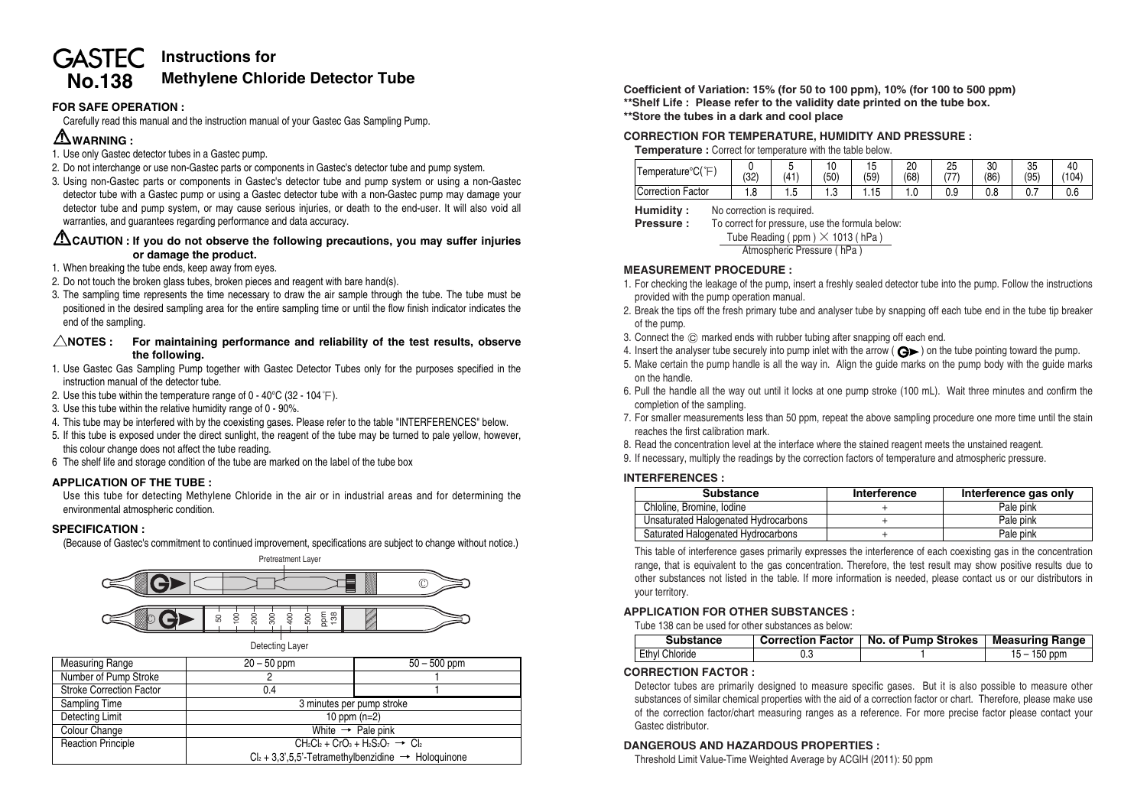# **GASTEC** Instructions for **No.138 Methylene Chloride Detector Tube**

# **FOR SAFE OPERATION :**

Carefully read this manual and the instruction manual of your Gastec Gas Sampling Pump.

# **WARNING :**

- 1. Use only Gastec detector tubes in a Gastec pump.
- 2. Do not interchange or use non-Gastec parts or components in Gastec's detector tube and pump system.
- 3. Using non-Gastec parts or components in Gastec's detector tube and pump system or using a non-Gastec detector tube with a Gastec pump or using a Gastec detector tube with a non-Gastec pump may damage your detector tube and pump system, or may cause serious injuries, or death to the end-user. It will also void all warranties, and guarantees regarding performance and data accuracy.

## **CAUTION : If you do not observe the following precautions, you may suffer injuries or damage the product.**

- 1. When breaking the tube ends, keep away from eyes.
- 2. Do not touch the broken glass tubes, broken pieces and reagent with bare hand(s).
- 3. The sampling time represents the time necessary to draw the air sample through the tube. The tube must be positioned in the desired sampling area for the entire sampling time or until the flow finish indicator indicates the end of the sampling.

#### $\triangle$ NOTES : For maintaining performance and reliability of the test results, observe **the following.**

- 1. Use Gastec Gas Sampling Pump together with Gastec Detector Tubes only for the purposes specified in the instruction manual of the detector tube.
- 2. Use this tube within the temperature range of  $0 40^{\circ}$ C (32 104 °F).
- 3. Use this tube within the relative humidity range of 0 90%.
- 4. This tube may be interfered with by the coexisting gases. Please refer to the table "INTERFERENCES" below.
- 5. If this tube is exposed under the direct sunlight, the reagent of the tube may be turned to pale yellow, however this colour change does not affect the tube reading.
- 6 The shelf life and storage condition of the tube are marked on the label of the tube box

#### **APPLICATION OF THE TUBE :**

Use this tube for detecting Methylene Chloride in the air or in industrial areas and for determining the environmental atmospheric condition.

#### **SPECIFICATION :**

(Because of Gastec's commitment to continued improvement, specifications are subject to change without notice.)



| <b>Measuring Range</b>          | $20 - 50$ ppm                                   | $50 - 500$ ppm                                                     |  |
|---------------------------------|-------------------------------------------------|--------------------------------------------------------------------|--|
| Number of Pump Stroke           |                                                 |                                                                    |  |
| <b>Stroke Correction Factor</b> | 0.4                                             |                                                                    |  |
| Sampling Time                   | 3 minutes per pump stroke                       |                                                                    |  |
| Detecting Limit                 | 10 ppm $(n=2)$                                  |                                                                    |  |
| Colour Change                   | White $\rightarrow$ Pale pink                   |                                                                    |  |
| <b>Reaction Principle</b>       | $CH_2Cl_2 + CrO_3 + H_2S_2O_7 \rightarrow Cl_2$ |                                                                    |  |
|                                 |                                                 | $Cl_2 + 3,3',5,5'-T$ etramethylbenzidine $\rightarrow$ Hologuinone |  |

**Coefficient of Variation: 15% (for 50 to 100 ppm), 10% (for 100 to 500 ppm) \*\*Shelf Life : Please refer to the validity date printed on the tube box. \*\*Store the tubes in a dark and cool place**

#### **CORRECTION FOR TEMPERATURE, HUMIDITY AND PRESSURE :**

**Temperature :** Correct for temperature with the table below.

| 0.001<br>l emperature°C(<br>ー | (32) | (41) | . .<br>(50) | ل ،<br>(59) | n<br>۷۵<br>(68) | 25<br>$1 - 7$ | 30<br>86 | 0F<br>ບປ<br>(95) | 40<br>(104) |
|-------------------------------|------|------|-------------|-------------|-----------------|---------------|----------|------------------|-------------|
| Factor<br>Correction          | 1.C  | ن. ا | ں ،         | .15         | ن ۱             | 0.9           | v.o      | $\mathsf{u}$     | v.o         |

**Humidity :** No correction is required.

**Pressure :** To correct for pressure, use the formula below:

Tube Reading ( ppm ) **×** 1013 ( hPa )

Atmospheric Pressure ( hPa )

## **MEASUREMENT PROCEDURE :**

- 1. For checking the leakage of the pump, insert a freshly sealed detector tube into the pump. Follow the instructions provided with the pump operation manual.
- 2. Break the tips off the fresh primary tube and analyser tube by snapping off each tube end in the tube tip breaker of the pump.
- 3. Connect the  $\odot$  marked ends with rubber tubing after snapping off each end.
- 4. Insert the analyser tube securely into pump inlet with the arrow ( $\bigodot$ ) on the tube pointing toward the pump.
- 5. Make certain the pump handle is all the way in. Align the guide marks on the pump body with the guide marks on the handle.
- 6. Pull the handle all the way out until it locks at one pump stroke (100 mL). Wait three minutes and confirm the completion of the sampling.
- 7. For smaller measurements less than 50 ppm, repeat the above sampling procedure one more time until the stain reaches the first calibration mark.
- 8. Read the concentration level at the interface where the stained reagent meets the unstained reagent.
- 9. If necessary, multiply the readings by the correction factors of temperature and atmospheric pressure.

#### **INTERFERENCES :**

| <b>Substance</b>                     | Interference | Interference gas only |
|--------------------------------------|--------------|-----------------------|
| Chloline, Bromine, Iodine            |              | Pale pink             |
| Unsaturated Halogenated Hydrocarbons |              | Pale pink             |
| Saturated Halogenated Hydrocarbons   |              | Pale pink             |

This table of interference gases primarily expresses the interference of each coexisting gas in the concentration range, that is equivalent to the gas concentration. Therefore, the test result may show positive results due to other substances not listed in the table. If more information is needed, please contact us or our distributors in your territory.

#### **APPLICATION FOR OTHER SUBSTANCES :**

Tube 138 can be used for other substances as below:

| <b>Substance</b>      | Correction Factor   No. of Pump Strokes | Measuring Range |
|-----------------------|-----------------------------------------|-----------------|
| <b>Ethyl Chloride</b> |                                         | $15 - 150$ ppm  |

#### **CORRECTION FACTOR :**

Detector tubes are primarily designed to measure specific gases. But it is also possible to measure other substances of similar chemical properties with the aid of a correction factor or chart. Therefore, please make use of the correction factor/chart measuring ranges as a reference. For more precise factor please contact your Gastec distributor.

#### **DANGEROUS AND HAZARDOUS PROPERTIES :**

Threshold Limit Value-Time Weighted Average by ACGIH (2011): 50 ppm